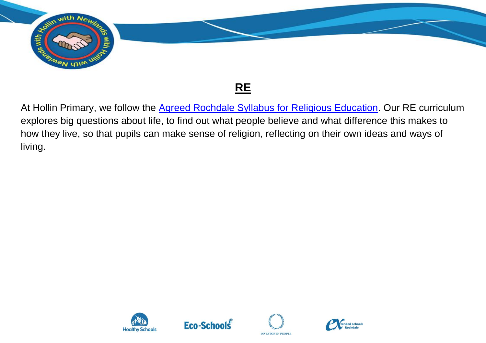

## **RE**

At Hollin Primary, we follow the [Agreed Rochdale Syllabus for Religious Education.](https://www.whatdotheyknow.com/request/630472/response/1510774/attach/5/Rochdale%20RE%20Agreed%20Syllabus%202020%202025.pdf?cookie_passthrough=1) Our RE curriculum explores big questions about life, to find out what people believe and what difference this makes to how they live, so that pupils can make sense of religion, reflecting on their own ideas and ways of living.